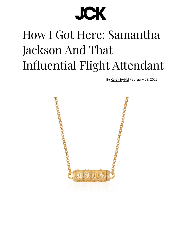## **JCK**

## How I Got Here: Samantha Jackson And That Influential Flight Attendant

**By Karen Dybis**[| February](http://instagram.com/jckmagazine) [09, 2022](https://googleads.g.doubleclick.net/pcs/click?xai=AKAOjsvgsdXxVVPnT00k8YoSdqaTF9CHoCFvEmfVVEdWq6W43MB81k0g0xMFidZEG1DvSnSP2KakkAzfejwgzmUdHiy5x4HLhp1wYE03Xfc8-MqglZDcvBGJvgH7VEoZDnzJVuNaYsxV_b58x5ENmUVvgnscYeyZ_5kTgbvZGy-xDeiY7T-9kQDCVcAuHlqPAlq4SlsRhp2LwJDsLky-i-Q-1pg_bxIbkPaAcDAJS30FzhuQwzOEbmecEbM6tdqGaKGwQTV1f2X-mDnzIy8VJk2wB2IMJ1qC6IlYhdXPO-qIhWwm1Q&sai=AMfl-YRFVuhRexTyV7VU9qwMKz6XpfsVq9YTLyVl9sSKMeuhIgs99Hn84UYZoPbXCr8oc_1DCXp6-2xwc_-Rzh3Td-5VVNDS104OEl7ewClSBHzAMX2_xL3v-V2k95ZsSnXB&sig=Cg0ArKJSzGLsNAyaQqN0&fbs_aeid=%5Bgw_fbsaeid%5D&adurl=https://rdidiamonds.com&nm=3)

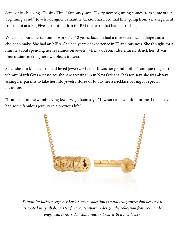Semisonic's hit song "Closing Time" famously says: "Every new beginning comes from some other beginning's end." Jewelry designer Samantha Jackson has lived that line, going from a management consultant at a Big Five accounting firm to IBM to a layo! that had her reeling.

When she found herself out of work a"er 18 years, Jackson had a nice severance package and a choice to make. She had an MBA. She had years of experience in IT and business. She thought for a minute about spending her severance on jewelry when a di!erent idea entirely struck her: It was time to start making her own pieces to wear.

Since she as a kid, Jackson had loved jewelry, whether it was her grandmother's ant[ique rings or the](https://googleads.g.doubleclick.net/pcs/click?xai=AKAOjsvp2vSt55C8cYGKEAX-nPeq32FgHRGyUG-rrtjWQqKxGcGYUriAXScDEEaScNknXHr2pJTW1rQ74wMglpr93_ZpDnLbcVe7WQu1CIi2lvqaKMNpTy19fuCo8VCPXOHEaCnotvgnJS-Fyun0Kn_wcDrCvxomgYJ8jpkmd1ZzfoPhW4HuLZq8TdI-XNriisFtqWSmTryGDmO-NnUUSYkRuBDWKm2KC4Iy0KsfD8W_QCHoe3XmPNzvwKNnHRc3jSsiEIuQyFOIRsQC-2xgkxRnUxYw8kNQDCzv845pAMwhIIB9pQ&sai=AMfl-YS4EOXnJlHHDCvJITFkJorMZLhqajyGJOjy7XOpvbTfzb4MzJrofMVAhJZPvwQDpc8I5m3pDsKlNcN82z5_-XU7Cn75jm-mcq-bLEuyoVZU5Rp8CZdSj0x5n4pL8YE8&sig=Cg0ArKJSzLx4mtUedfOQ&fbs_aeid=%5Bgw_fbsaeid%5D&adurl=https://www.overnightmountings.com/loose-diamonds-130/lab-grown-diamonds.html)  vibrant Mardi Gras accessories she saw growing up in New Orleans. Jackson says she was always asking her parents to take her into jewelry stores or to buy her a necklace or ring for special occasions.

"I came out of the womb loving jewelry," Jackson says. "It wasn't an evolution for me. I must have had some fabulous jewelry in a previous life."



*Samantha Jackson says her Lock Stories collection is a natural progression because it is rooted in symbolism. Her first contemporary design, the collection features handengraved, three-sided combination locks with a tactile key.*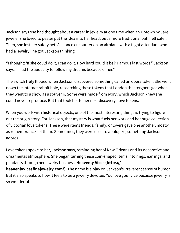Jackson says she had thought about a career in jewelry at one time when an Uptown Square jeweler she loved to pester put the idea into her head, but a more traditional path felt safer. Then, she lost her safety net. A chance encounter on an airplane with a flight attendant who had a jewelry line got Jackson thinking.

"I thought: 'If she could do it, I can do it. How hard could it be?' Famous last words," Jackson says. "I had the audacity to follow my dreams because of her."

The switch truly flipped when Jackson discovered something called an opera token. She went down the internet rabbit hole, researching these tokens that London theatergoers got when they went to a show as a souvenir. Some were made from ivory, which Jackson knew she could never reproduce. But that took her to her next discovery: love tokens.

When you work with historical objects, one of the most interesting things is trying to figure out the origin story. For Jackson, that mystery is what fuels her work and her huge collection of Victorian love tokens. These were items friends, family, or lovers gave one another, mostly as remembrances of them. Sometimes, they were used to apologize, something Jackson adores.

Love tokens spoke to her, Jackson says, reminding her of New Orleans and its decorative and ornamental atmosphere. She began turning these coin-shaped items into rings, earrings, and pendants through her jewelry business, **Heavenly Vices (https:// heavenlyvicesfinejewelry.com/)**. The name is a play on Jackson's irreverent sense of humor. But it also speaks to how it feels to be a [jewelry devotee: You love your vice beca](https://heavenlyvicesfinejewelry.com/)use jewelry is so wonderful.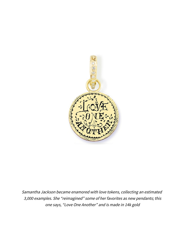

Samantha Jackson became enamored with love tokens, collecting an estimated 3,000 examples. She "reimagined" some of her favorites as new pendants; this one says, "Love One Another" and is made in 14k gold